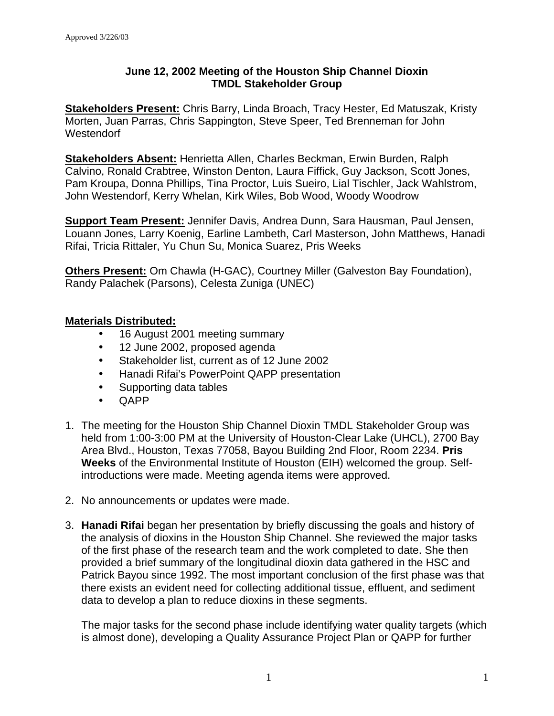## **June 12, 2002 Meeting of the Houston Ship Channel Dioxin TMDL Stakeholder Group**

**Stakeholders Present:** Chris Barry, Linda Broach, Tracy Hester, Ed Matuszak, Kristy Morten, Juan Parras, Chris Sappington, Steve Speer, Ted Brenneman for John **Westendorf** 

**Stakeholders Absent:** Henrietta Allen, Charles Beckman, Erwin Burden, Ralph Calvino, Ronald Crabtree, Winston Denton, Laura Fiffick, Guy Jackson, Scott Jones, Pam Kroupa, Donna Phillips, Tina Proctor, Luis Sueiro, Lial Tischler, Jack Wahlstrom, John Westendorf, Kerry Whelan, Kirk Wiles, Bob Wood, Woody Woodrow

**Support Team Present:** Jennifer Davis, Andrea Dunn, Sara Hausman, Paul Jensen, Louann Jones, Larry Koenig, Earline Lambeth, Carl Masterson, John Matthews, Hanadi Rifai, Tricia Rittaler, Yu Chun Su, Monica Suarez, Pris Weeks

**Others Present:** Om Chawla (H-GAC), Courtney Miller (Galveston Bay Foundation), Randy Palachek (Parsons), Celesta Zuniga (UNEC)

## **Materials Distributed:**

- 16 August 2001 meeting summary
- 12 June 2002, proposed agenda
- Stakeholder list, current as of 12 June 2002
- Hanadi Rifai's PowerPoint QAPP presentation
- Supporting data tables
- QAPP
- 1. The meeting for the Houston Ship Channel Dioxin TMDL Stakeholder Group was held from 1:00-3:00 PM at the University of Houston-Clear Lake (UHCL), 2700 Bay Area Blvd., Houston, Texas 77058, Bayou Building 2nd Floor, Room 2234. **Pris Weeks** of the Environmental Institute of Houston (EIH) welcomed the group. Selfintroductions were made. Meeting agenda items were approved.
- 2. No announcements or updates were made.
- 3. **Hanadi Rifai** began her presentation by briefly discussing the goals and history of the analysis of dioxins in the Houston Ship Channel. She reviewed the major tasks of the first phase of the research team and the work completed to date. She then provided a brief summary of the longitudinal dioxin data gathered in the HSC and Patrick Bayou since 1992. The most important conclusion of the first phase was that there exists an evident need for collecting additional tissue, effluent, and sediment data to develop a plan to reduce dioxins in these segments.

The major tasks for the second phase include identifying water quality targets (which is almost done), developing a Quality Assurance Project Plan or QAPP for further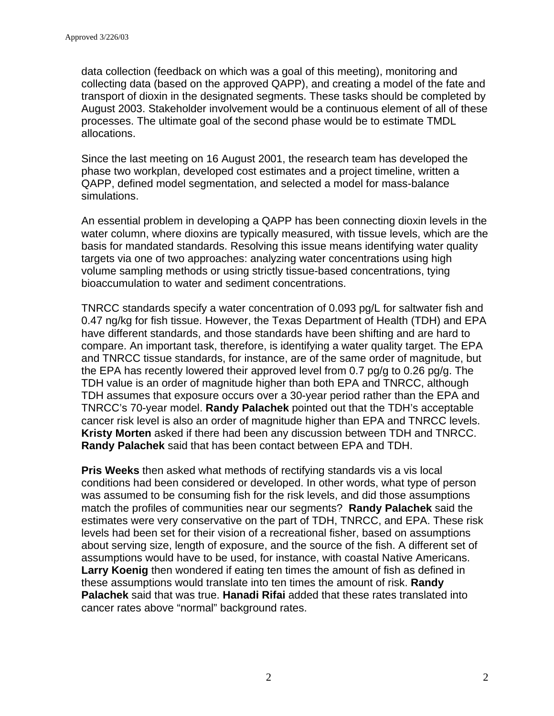data collection (feedback on which was a goal of this meeting), monitoring and collecting data (based on the approved QAPP), and creating a model of the fate and transport of dioxin in the designated segments. These tasks should be completed by August 2003. Stakeholder involvement would be a continuous element of all of these processes. The ultimate goal of the second phase would be to estimate TMDL allocations.

Since the last meeting on 16 August 2001, the research team has developed the phase two workplan, developed cost estimates and a project timeline, written a QAPP, defined model segmentation, and selected a model for mass-balance simulations.

An essential problem in developing a QAPP has been connecting dioxin levels in the water column, where dioxins are typically measured, with tissue levels, which are the basis for mandated standards. Resolving this issue means identifying water quality targets via one of two approaches: analyzing water concentrations using high volume sampling methods or using strictly tissue-based concentrations, tying bioaccumulation to water and sediment concentrations.

TNRCC standards specify a water concentration of 0.093 pg/L for saltwater fish and 0.47 ng/kg for fish tissue. However, the Texas Department of Health (TDH) and EPA have different standards, and those standards have been shifting and are hard to compare. An important task, therefore, is identifying a water quality target. The EPA and TNRCC tissue standards, for instance, are of the same order of magnitude, but the EPA has recently lowered their approved level from 0.7 pg/g to 0.26 pg/g. The TDH value is an order of magnitude higher than both EPA and TNRCC, although TDH assumes that exposure occurs over a 30-year period rather than the EPA and TNRCC's 70-year model. **Randy Palachek** pointed out that the TDH's acceptable cancer risk level is also an order of magnitude higher than EPA and TNRCC levels. **Kristy Morten** asked if there had been any discussion between TDH and TNRCC. **Randy Palachek** said that has been contact between EPA and TDH.

**Pris Weeks** then asked what methods of rectifying standards vis a vis local conditions had been considered or developed. In other words, what type of person was assumed to be consuming fish for the risk levels, and did those assumptions match the profiles of communities near our segments? **Randy Palachek** said the estimates were very conservative on the part of TDH, TNRCC, and EPA. These risk levels had been set for their vision of a recreational fisher, based on assumptions about serving size, length of exposure, and the source of the fish. A different set of assumptions would have to be used, for instance, with coastal Native Americans. **Larry Koenig** then wondered if eating ten times the amount of fish as defined in these assumptions would translate into ten times the amount of risk. **Randy Palachek** said that was true. **Hanadi Rifai** added that these rates translated into cancer rates above "normal" background rates.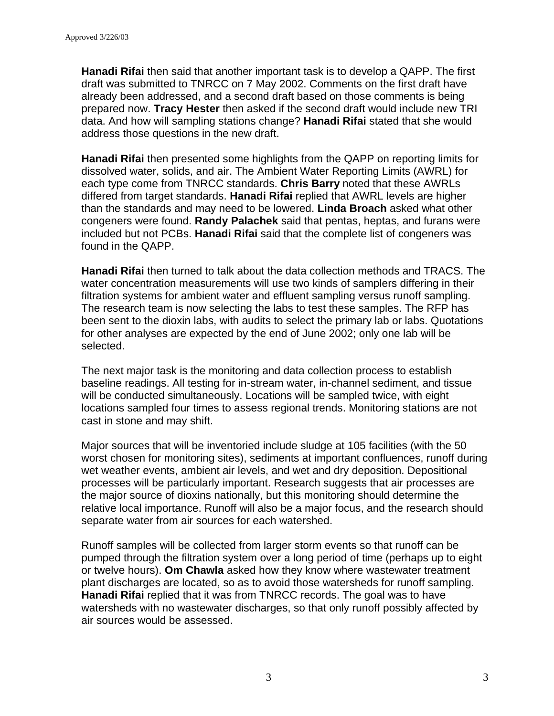**Hanadi Rifai** then said that another important task is to develop a QAPP. The first draft was submitted to TNRCC on 7 May 2002. Comments on the first draft have already been addressed, and a second draft based on those comments is being prepared now. **Tracy Hester** then asked if the second draft would include new TRI data. And how will sampling stations change? **Hanadi Rifai** stated that she would address those questions in the new draft.

**Hanadi Rifai** then presented some highlights from the QAPP on reporting limits for dissolved water, solids, and air. The Ambient Water Reporting Limits (AWRL) for each type come from TNRCC standards. **Chris Barry** noted that these AWRLs differed from target standards. **Hanadi Rifai** replied that AWRL levels are higher than the standards and may need to be lowered. **Linda Broach** asked what other congeners were found. **Randy Palachek** said that pentas, heptas, and furans were included but not PCBs. **Hanadi Rifai** said that the complete list of congeners was found in the QAPP.

**Hanadi Rifai** then turned to talk about the data collection methods and TRACS. The water concentration measurements will use two kinds of samplers differing in their filtration systems for ambient water and effluent sampling versus runoff sampling. The research team is now selecting the labs to test these samples. The RFP has been sent to the dioxin labs, with audits to select the primary lab or labs. Quotations for other analyses are expected by the end of June 2002; only one lab will be selected.

The next major task is the monitoring and data collection process to establish baseline readings. All testing for in-stream water, in-channel sediment, and tissue will be conducted simultaneously. Locations will be sampled twice, with eight locations sampled four times to assess regional trends. Monitoring stations are not cast in stone and may shift.

Major sources that will be inventoried include sludge at 105 facilities (with the 50 worst chosen for monitoring sites), sediments at important confluences, runoff during wet weather events, ambient air levels, and wet and dry deposition. Depositional processes will be particularly important. Research suggests that air processes are the major source of dioxins nationally, but this monitoring should determine the relative local importance. Runoff will also be a major focus, and the research should separate water from air sources for each watershed.

Runoff samples will be collected from larger storm events so that runoff can be pumped through the filtration system over a long period of time (perhaps up to eight or twelve hours). **Om Chawla** asked how they know where wastewater treatment plant discharges are located, so as to avoid those watersheds for runoff sampling. **Hanadi Rifai** replied that it was from TNRCC records. The goal was to have watersheds with no wastewater discharges, so that only runoff possibly affected by air sources would be assessed.